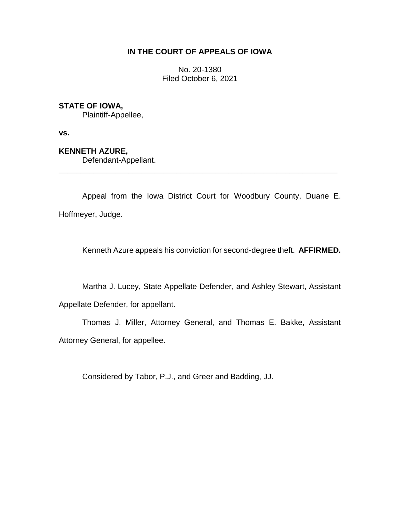# **IN THE COURT OF APPEALS OF IOWA**

No. 20-1380 Filed October 6, 2021

# **STATE OF IOWA,**

Plaintiff-Appellee,

**vs.**

## **KENNETH AZURE,**

Defendant-Appellant.

Appeal from the Iowa District Court for Woodbury County, Duane E. Hoffmeyer, Judge.

\_\_\_\_\_\_\_\_\_\_\_\_\_\_\_\_\_\_\_\_\_\_\_\_\_\_\_\_\_\_\_\_\_\_\_\_\_\_\_\_\_\_\_\_\_\_\_\_\_\_\_\_\_\_\_\_\_\_\_\_\_\_\_\_

Kenneth Azure appeals his conviction for second-degree theft. **AFFIRMED.**

Martha J. Lucey, State Appellate Defender, and Ashley Stewart, Assistant

Appellate Defender, for appellant.

Thomas J. Miller, Attorney General, and Thomas E. Bakke, Assistant Attorney General, for appellee.

Considered by Tabor, P.J., and Greer and Badding, JJ.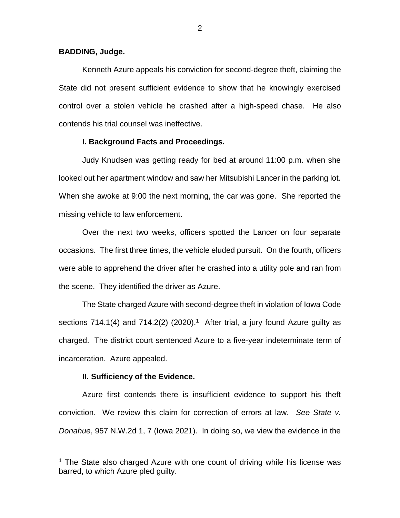## **BADDING, Judge.**

Kenneth Azure appeals his conviction for second-degree theft, claiming the State did not present sufficient evidence to show that he knowingly exercised control over a stolen vehicle he crashed after a high-speed chase. He also contends his trial counsel was ineffective.

## **I. Background Facts and Proceedings.**

Judy Knudsen was getting ready for bed at around 11:00 p.m. when she looked out her apartment window and saw her Mitsubishi Lancer in the parking lot. When she awoke at 9:00 the next morning, the car was gone. She reported the missing vehicle to law enforcement.

Over the next two weeks, officers spotted the Lancer on four separate occasions. The first three times, the vehicle eluded pursuit. On the fourth, officers were able to apprehend the driver after he crashed into a utility pole and ran from the scene. They identified the driver as Azure.

The State charged Azure with second-degree theft in violation of Iowa Code sections 714.1(4) and 714.2(2) (2020).<sup>1</sup> After trial, a jury found Azure guilty as charged. The district court sentenced Azure to a five-year indeterminate term of incarceration. Azure appealed.

### **II. Sufficiency of the Evidence.**

 $\overline{a}$ 

Azure first contends there is insufficient evidence to support his theft conviction. We review this claim for correction of errors at law. *See State v. Donahue*, 957 N.W.2d 1, 7 (Iowa 2021). In doing so, we view the evidence in the

<sup>&</sup>lt;sup>1</sup> The State also charged Azure with one count of driving while his license was barred, to which Azure pled guilty.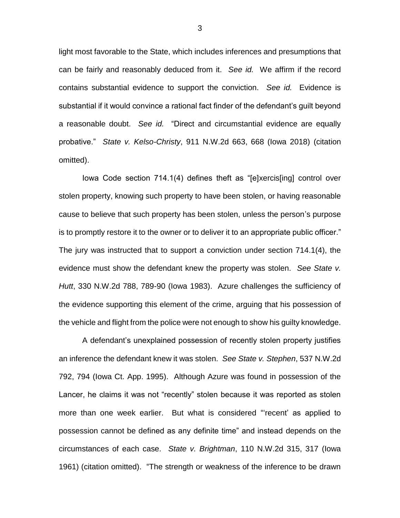light most favorable to the State, which includes inferences and presumptions that can be fairly and reasonably deduced from it. *See id.* We affirm if the record contains substantial evidence to support the conviction. *See id.* Evidence is substantial if it would convince a rational fact finder of the defendant's guilt beyond a reasonable doubt. *See id.* "Direct and circumstantial evidence are equally probative." *State v. Kelso-Christy*, 911 N.W.2d 663, 668 (Iowa 2018) (citation omitted).

Iowa Code section 714.1(4) defines theft as "[e]xercis[ing] control over stolen property, knowing such property to have been stolen, or having reasonable cause to believe that such property has been stolen, unless the person's purpose is to promptly restore it to the owner or to deliver it to an appropriate public officer." The jury was instructed that to support a conviction under section 714.1(4), the evidence must show the defendant knew the property was stolen. *See State v. Hutt*, 330 N.W.2d 788, 789-90 (Iowa 1983). Azure challenges the sufficiency of the evidence supporting this element of the crime, arguing that his possession of the vehicle and flight from the police were not enough to show his guilty knowledge.

A defendant's unexplained possession of recently stolen property justifies an inference the defendant knew it was stolen. *See State v. Stephen*, 537 N.W.2d 792, 794 (Iowa Ct. App. 1995). Although Azure was found in possession of the Lancer, he claims it was not "recently" stolen because it was reported as stolen more than one week earlier. But what is considered "'recent' as applied to possession cannot be defined as any definite time" and instead depends on the circumstances of each case. *State v. Brightman*, 110 N.W.2d 315, 317 (Iowa 1961) (citation omitted). "The strength or weakness of the inference to be drawn

3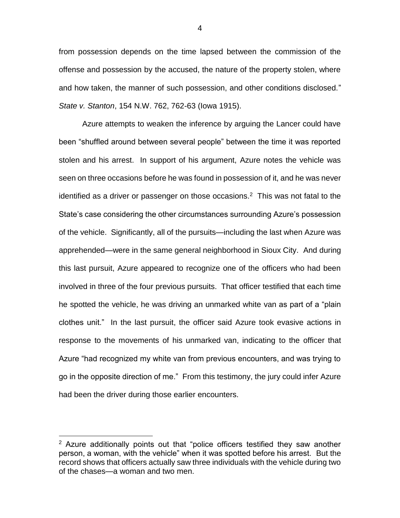from possession depends on the time lapsed between the commission of the offense and possession by the accused, the nature of the property stolen, where and how taken, the manner of such possession, and other conditions disclosed." *State v. Stanton*, 154 N.W. 762, 762-63 (Iowa 1915).

Azure attempts to weaken the inference by arguing the Lancer could have been "shuffled around between several people" between the time it was reported stolen and his arrest. In support of his argument, Azure notes the vehicle was seen on three occasions before he was found in possession of it, and he was never identified as a driver or passenger on those occasions.<sup>2</sup> This was not fatal to the State's case considering the other circumstances surrounding Azure's possession of the vehicle. Significantly, all of the pursuits—including the last when Azure was apprehended—were in the same general neighborhood in Sioux City. And during this last pursuit, Azure appeared to recognize one of the officers who had been involved in three of the four previous pursuits. That officer testified that each time he spotted the vehicle, he was driving an unmarked white van as part of a "plain clothes unit." In the last pursuit, the officer said Azure took evasive actions in response to the movements of his unmarked van, indicating to the officer that Azure "had recognized my white van from previous encounters, and was trying to go in the opposite direction of me." From this testimony, the jury could infer Azure had been the driver during those earlier encounters.

 $\overline{a}$ 

 $2$  Azure additionally points out that "police officers testified they saw another person, a woman, with the vehicle" when it was spotted before his arrest. But the record shows that officers actually saw three individuals with the vehicle during two of the chases—a woman and two men.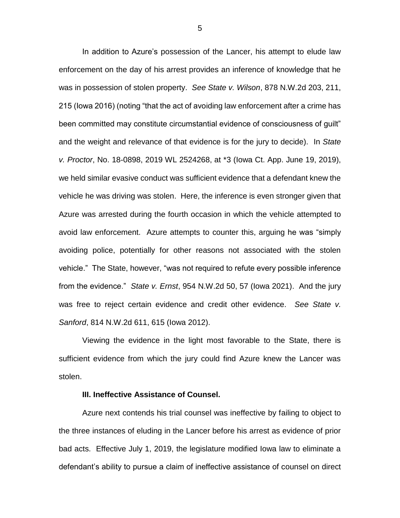In addition to Azure's possession of the Lancer, his attempt to elude law enforcement on the day of his arrest provides an inference of knowledge that he was in possession of stolen property. *See State v. Wilson*, 878 N.W.2d 203, 211, 215 (Iowa 2016) (noting "that the act of avoiding law enforcement after a crime has been committed may constitute circumstantial evidence of consciousness of guilt" and the weight and relevance of that evidence is for the jury to decide). In *State v. Proctor*, No. 18-0898, 2019 WL 2524268, at \*3 (Iowa Ct. App. June 19, 2019), we held similar evasive conduct was sufficient evidence that a defendant knew the vehicle he was driving was stolen. Here, the inference is even stronger given that Azure was arrested during the fourth occasion in which the vehicle attempted to avoid law enforcement.Azure attempts to counter this, arguing he was "simply avoiding police, potentially for other reasons not associated with the stolen vehicle." The State, however, "was not required to refute every possible inference from the evidence." *State v. Ernst*, 954 N.W.2d 50, 57 (Iowa 2021). And the jury was free to reject certain evidence and credit other evidence. *See State v. Sanford*, 814 N.W.2d 611, 615 (Iowa 2012).

Viewing the evidence in the light most favorable to the State, there is sufficient evidence from which the jury could find Azure knew the Lancer was stolen.

### **III. Ineffective Assistance of Counsel.**

Azure next contends his trial counsel was ineffective by failing to object to the three instances of eluding in the Lancer before his arrest as evidence of prior bad acts. Effective July 1, 2019, the legislature modified Iowa law to eliminate a defendant's ability to pursue a claim of ineffective assistance of counsel on direct